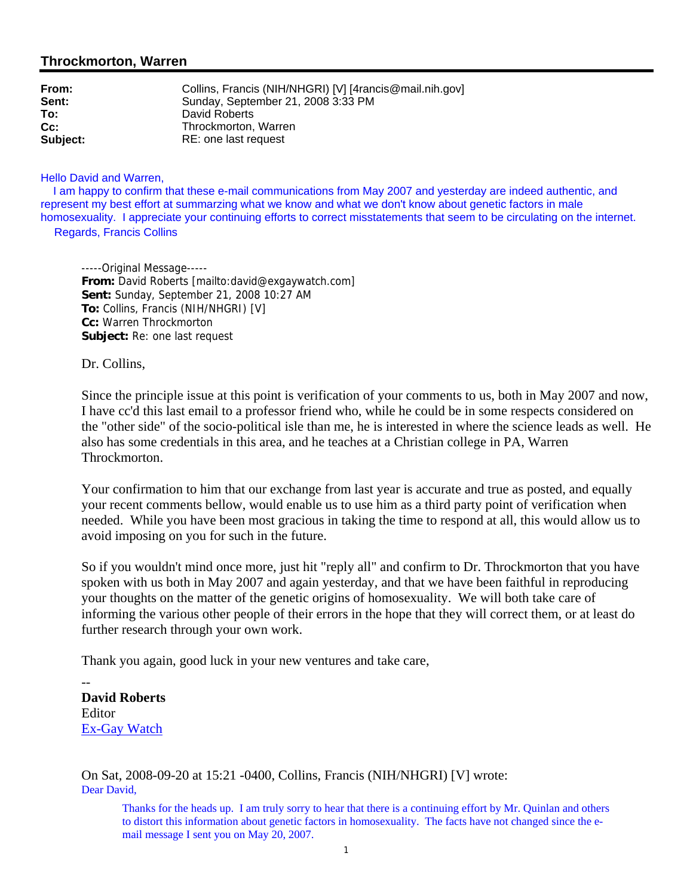# **Throckmorton, Warren**

| From:    | Collins, Francis (NIH/NHGRI) [V] [4rancis@mail.nih.gov] |
|----------|---------------------------------------------------------|
| Sent:    | Sunday, September 21, 2008 3:33 PM                      |
| To:      | David Roberts                                           |
| $Cc$ :   | Throckmorton, Warren                                    |
| Subject: | RE: one last request                                    |

#### Hello David and Warren,

 I am happy to confirm that these e-mail communications from May 2007 and yesterday are indeed authentic, and represent my best effort at summarzing what we know and what we don't know about genetic factors in male homosexuality. I appreciate your continuing efforts to correct misstatements that seem to be circulating on the internet. Regards, Francis Collins

-----Original Message----- **From:** David Roberts [mailto:david@exgaywatch.com] **Sent:** Sunday, September 21, 2008 10:27 AM **To:** Collins, Francis (NIH/NHGRI) [V] **Cc:** Warren Throckmorton **Subject:** Re: one last request

Dr. Collins,

Since the principle issue at this point is verification of your comments to us, both in May 2007 and now, I have cc'd this last email to a professor friend who, while he could be in some respects considered on the "other side" of the socio-political isle than me, he is interested in where the science leads as well. He also has some credentials in this area, and he teaches at a Christian college in PA, Warren Throckmorton.

Your confirmation to him that our exchange from last year is accurate and true as posted, and equally your recent comments bellow, would enable us to use him as a third party point of verification when needed. While you have been most gracious in taking the time to respond at all, this would allow us to avoid imposing on you for such in the future.

So if you wouldn't mind once more, just hit "reply all" and confirm to Dr. Throckmorton that you have spoken with us both in May 2007 and again yesterday, and that we have been faithful in reproducing your thoughts on the matter of the genetic origins of homosexuality. We will both take care of informing the various other people of their errors in the hope that they will correct them, or at least do further research through your own work.

Thank you again, good luck in your new ventures and take care,

-- **David Roberts Editor** Ex-Gay Watch

On Sat, 2008-09-20 at 15:21 -0400, Collins, Francis (NIH/NHGRI) [V] wrote: Dear David,

Thanks for the heads up. I am truly sorry to hear that there is a continuing effort by Mr. Quinlan and others to distort this information about genetic factors in homosexuality. The facts have not changed since the email message I sent you on May 20, 2007.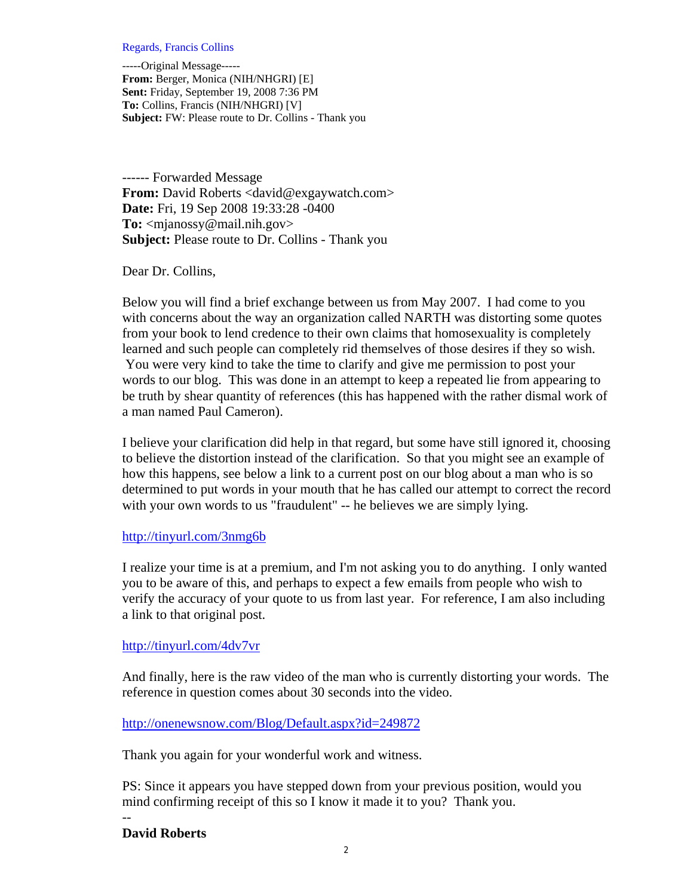#### Regards, Francis Collins

-----Original Message----- **From:** Berger, Monica (NIH/NHGRI) [E] **Sent:** Friday, September 19, 2008 7:36 PM **To:** Collins, Francis (NIH/NHGRI) [V] **Subject:** FW: Please route to Dr. Collins - Thank you

------ Forwarded Message **From:** David Roberts <david@exgaywatch.com> **Date:** Fri, 19 Sep 2008 19:33:28 -0400 **To:** <mjanossy@mail.nih.gov> **Subject:** Please route to Dr. Collins - Thank you

Dear Dr. Collins,

Below you will find a brief exchange between us from May 2007. I had come to you with concerns about the way an organization called NARTH was distorting some quotes from your book to lend credence to their own claims that homosexuality is completely learned and such people can completely rid themselves of those desires if they so wish. You were very kind to take the time to clarify and give me permission to post your words to our blog. This was done in an attempt to keep a repeated lie from appearing to be truth by shear quantity of references (this has happened with the rather dismal work of a man named Paul Cameron).

I believe your clarification did help in that regard, but some have still ignored it, choosing to believe the distortion instead of the clarification. So that you might see an example of how this happens, see below a link to a current post on our blog about a man who is so determined to put words in your mouth that he has called our attempt to correct the record with your own words to us "fraudulent" -- he believes we are simply lying.

### http://tinyurl.com/3nmg6b

I realize your time is at a premium, and I'm not asking you to do anything. I only wanted you to be aware of this, and perhaps to expect a few emails from people who wish to verify the accuracy of your quote to us from last year. For reference, I am also including a link to that original post.

### http://tinyurl.com/4dv7vr

And finally, here is the raw video of the man who is currently distorting your words. The reference in question comes about 30 seconds into the video.

# http://onenewsnow.com/Blog/Default.aspx?id=249872

Thank you again for your wonderful work and witness.

PS: Since it appears you have stepped down from your previous position, would you mind confirming receipt of this so I know it made it to you? Thank you.

# **David Roberts**

--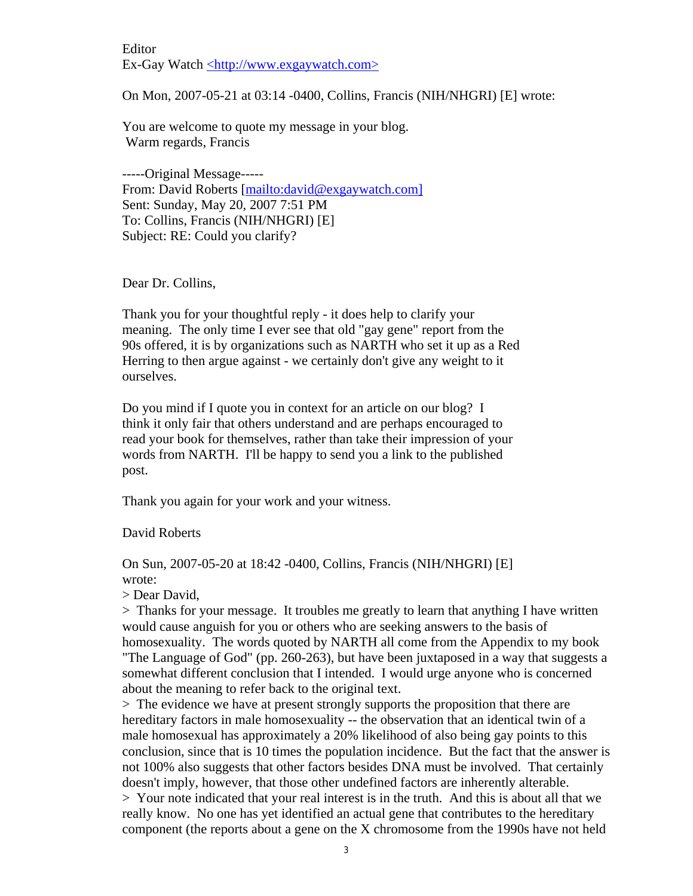Editor Ex-Gay Watch <http://www.exgaywatch.com>

On Mon, 2007-05-21 at 03:14 -0400, Collins, Francis (NIH/NHGRI) [E] wrote:

You are welcome to quote my message in your blog. Warm regards, Francis

-----Original Message----- From: David Roberts [mailto:david@exgaywatch.com] Sent: Sunday, May 20, 2007 7:51 PM To: Collins, Francis (NIH/NHGRI) [E] Subject: RE: Could you clarify?

Dear Dr. Collins,

Thank you for your thoughtful reply - it does help to clarify your meaning. The only time I ever see that old "gay gene" report from the 90s offered, it is by organizations such as NARTH who set it up as a Red Herring to then argue against - we certainly don't give any weight to it ourselves.

Do you mind if I quote you in context for an article on our blog? I think it only fair that others understand and are perhaps encouraged to read your book for themselves, rather than take their impression of your words from NARTH. I'll be happy to send you a link to the published post.

Thank you again for your work and your witness.

### David Roberts

On Sun, 2007-05-20 at 18:42 -0400, Collins, Francis (NIH/NHGRI) [E] wrote:

> Dear David,

> Thanks for your message. It troubles me greatly to learn that anything I have written would cause anguish for you or others who are seeking answers to the basis of homosexuality. The words quoted by NARTH all come from the Appendix to my book "The Language of God" (pp. 260-263), but have been juxtaposed in a way that suggests a somewhat different conclusion that I intended. I would urge anyone who is concerned about the meaning to refer back to the original text.

> The evidence we have at present strongly supports the proposition that there are hereditary factors in male homosexuality -- the observation that an identical twin of a male homosexual has approximately a 20% likelihood of also being gay points to this conclusion, since that is 10 times the population incidence. But the fact that the answer is not 100% also suggests that other factors besides DNA must be involved. That certainly doesn't imply, however, that those other undefined factors are inherently alterable. > Your note indicated that your real interest is in the truth. And this is about all that we really know. No one has yet identified an actual gene that contributes to the hereditary component (the reports about a gene on the X chromosome from the 1990s have not held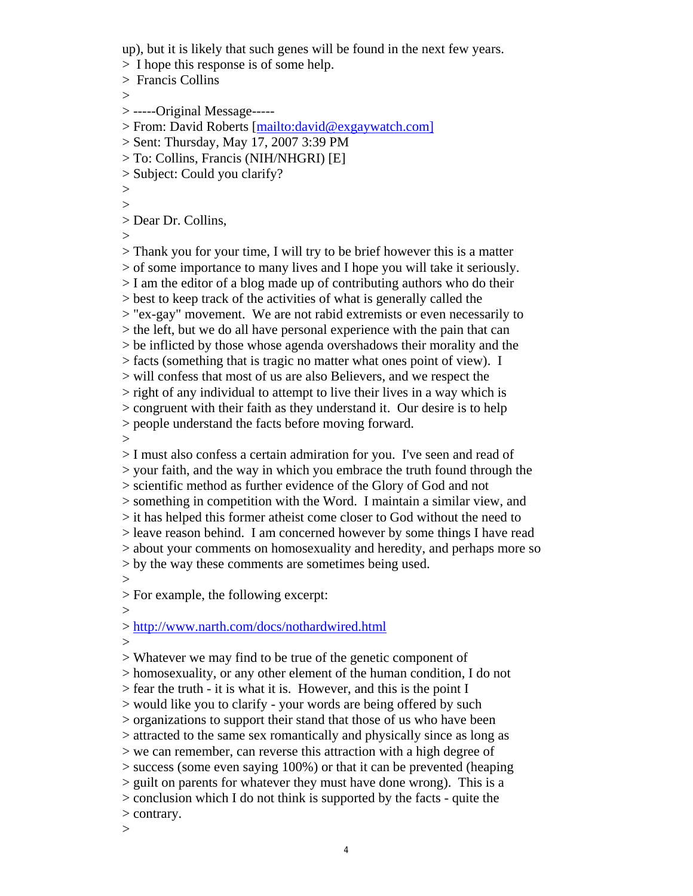up), but it is likely that such genes will be found in the next few years.

> I hope this response is of some help.

> Francis Collins

 $\geq$ 

> -----Original Message-----

> From: David Roberts [mailto:david@exgaywatch.com]

> Sent: Thursday, May 17, 2007 3:39 PM

> To: Collins, Francis (NIH/NHGRI) [E]

> Subject: Could you clarify?

>  $\,>$ 

> Dear Dr. Collins,

 $>$ 

> Thank you for your time, I will try to be brief however this is a matter > of some importance to many lives and I hope you will take it seriously. > I am the editor of a blog made up of contributing authors who do their > best to keep track of the activities of what is generally called the > "ex-gay" movement. We are not rabid extremists or even necessarily to > the left, but we do all have personal experience with the pain that can > be inflicted by those whose agenda overshadows their morality and the > facts (something that is tragic no matter what ones point of view). I > will confess that most of us are also Believers, and we respect the > right of any individual to attempt to live their lives in a way which is > congruent with their faith as they understand it. Our desire is to help > people understand the facts before moving forward.  $>$ 

> I must also confess a certain admiration for you. I've seen and read of > your faith, and the way in which you embrace the truth found through the > scientific method as further evidence of the Glory of God and not > something in competition with the Word. I maintain a similar view, and > it has helped this former atheist come closer to God without the need to > leave reason behind. I am concerned however by some things I have read > about your comments on homosexuality and heredity, and perhaps more so > by the way these comments are sometimes being used.  $>$ 

> For example, the following excerpt:

> http://www.narth.com/docs/nothardwired.html

>

 $>$ 

> Whatever we may find to be true of the genetic component of > homosexuality, or any other element of the human condition, I do not > fear the truth - it is what it is. However, and this is the point I > would like you to clarify - your words are being offered by such > organizations to support their stand that those of us who have been > attracted to the same sex romantically and physically since as long as > we can remember, can reverse this attraction with a high degree of > success (some even saying 100%) or that it can be prevented (heaping > guilt on parents for whatever they must have done wrong). This is a > conclusion which I do not think is supported by the facts - quite the > contrary.

 $\,>$